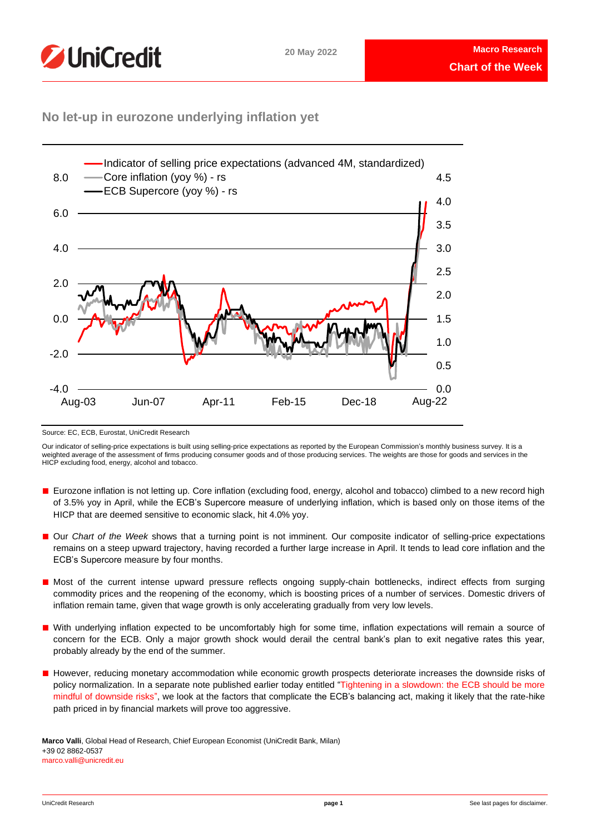

## **No let-up in eurozone underlying inflation yet**



Source: EC, ECB, Eurostat, UniCredit Research

Our indicator of selling-price expectations is built using selling-price expectations as reported by the European Commission's monthly business survey. It is a weighted average of the assessment of firms producing consumer goods and of those producing services. The weights are those for goods and services in the HICP excluding food, energy, alcohol and tobacco.

- Eurozone inflation is not letting up. Core inflation (excluding food, energy, alcohol and tobacco) climbed to a new record high of 3.5% yoy in April, while the ECB's Supercore measure of underlying inflation, which is based only on those items of the HICP that are deemed sensitive to economic slack, hit 4.0% yoy.
- Our *Chart of the Week* shows that a turning point is not imminent. Our composite indicator of selling-price expectations remains on a steep upward trajectory, having recorded a further large increase in April. It tends to lead core inflation and the ECB's Supercore measure by four months.
- Most of the current intense upward pressure reflects ongoing supply-chain bottlenecks, indirect effects from surging commodity prices and the reopening of the economy, which is boosting prices of a number of services. Domestic drivers of inflation remain tame, given that wage growth is only accelerating gradually from very low levels.
- With underlying inflation expected to be uncomfortably high for some time, inflation expectations will remain a source of concern for the ECB. Only a major growth shock would derail the central bank's plan to exit negative rates this year, probably already by the end of the summer.
- However, reducing monetary accommodation while economic growth prospects deteriorate increases the downside risks of policy normalization. In a separate note published earlier today entitled ["Tightening in a slowdown: the ECB should be more](https://www.research.unicredit.eu/DocsKey/economics_docs_2022_183345.ashx?EXT=pdf&KEY=C814QI31EjqIm_1zIJDBJHzbeXiHo2MF6138_TF6NlU=&T=1&T=1)  [mindful of downside risks"](https://www.research.unicredit.eu/DocsKey/economics_docs_2022_183345.ashx?EXT=pdf&KEY=C814QI31EjqIm_1zIJDBJHzbeXiHo2MF6138_TF6NlU=&T=1&T=1), we look at the factors that complicate the ECB's balancing act, making it likely that the rate-hike path priced in by financial markets will prove too aggressive.

**Marco Valli**, Global Head of Research, Chief European Economist (UniCredit Bank, Milan) +39 02 8862-0537 marco.valli@unicredit.eu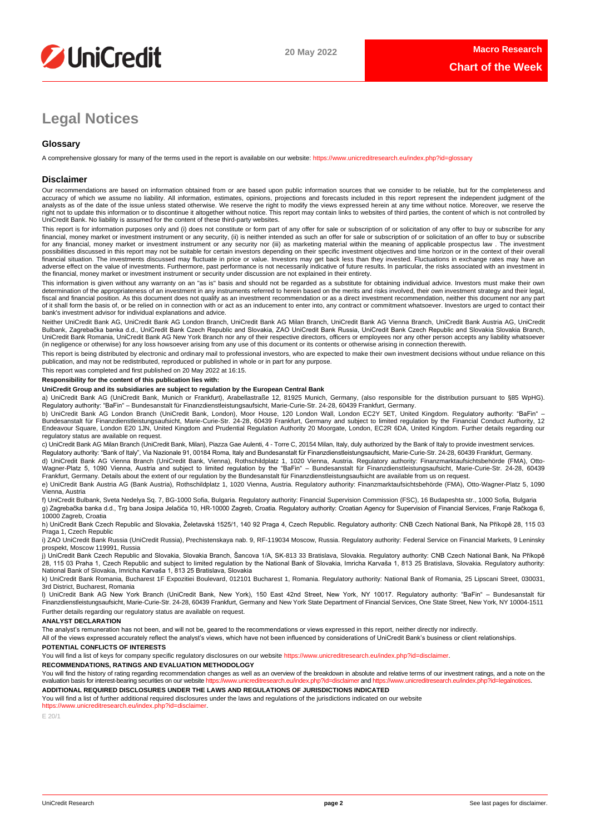

# **Legal Notices**

## **Glossary**

A comprehensive glossary for many of the terms used in the report is available on our website[: https://www.unicreditresearch.eu/index.php?id=glossary](https://www.unicreditresearch.eu/index.php?id=glossary)

## **Disclaimer**

Our recommendations are based on information obtained from or are based upon public information sources that we consider to be reliable, but for the completeness and accuracy of which we assume no liability. All information, estimates, opinions, projections and forecasts included in this report represent the independent judgment of the<br>analysts as of the date of the issue unless stated right not to update this information or to discontinue it altogether without notice. This report may contain links to websites of third parties, the content of which is not controlled by<br>UniCredit Bank. No liability is ass

This report is for information purposes only and (i) does not constitute or form part of any offer for sale or subscription of or solicitation of any offer to buy or subscribe for any<br>financial, money market or investment for any financial, money market or investment instrument or any security nor (iii) as marketing material within the meaning of applicable prospectus law . The investment possibilities discussed in this report may not be suitable for certain investors depending on their specific investment objectives and time horizon or in the context of their overall<br>financial situation. The investments di adverse effect on the value of investments. Furthermore, past performance is not necessarily indicative of future results. In particular, the risks associated with an investment in the financial, money market or investment instrument or security under discussion are not explained in their entirety.

This information is given without any warranty on an "as is" basis and should not be regarded as a substitute for obtaining individual advice. Investors must make their own determination of the appropriateness of an investment in any instruments referred to herein based on the merits and risks involved, their own investment strategy and their legal,<br>fiscal and financial position. As this docu of it shall form the basis of, or be relied on in connection with or act as an inducement to enter into, any contract or commitment whatsoever. Investors are urged to contact their bank's investment advisor for individual explanations and advice.

Neither UniCredit Bank AG, UniCredit Bank AG London Branch, UniCredit Bank AG Milan Branch, UniCredit Bank AG Vienna Branch, UniCredit Bank Austria AG, UniCredit Bulbank, Zagrebačka banka d.d., UniCredit Bank Czech Republic and Slovakia, ZAO UniCredit Bank Russia, UniCredit Bank Czech Republic and Slovakia Slovakia Branch,<br>UniCredit Bank Romania, UniCredit Bank AG New York Branch n (in negligence or otherwise) for any loss howsoever arising from any use of this document or its contents or otherwise arising in connection therewith.

This report is being distributed by electronic and ordinary mail to professional investors, who are expected to make their own investment decisions without undue reliance on this publication, and may not be redistributed, reproduced or published in whole or in part for any purpose.

This report was completed and first published on 20 May 2022 at 16:15.

## **Responsibility for the content of this publication lies with:**

## **UniCredit Group and its subsidiaries are subject to regulation by the European Central Bank**

a) UniCredit Bank AG (UniCredit Bank, Munich or Frankfurt), Arabellastraße 12, 81925 Munich, Germany, (also responsible for the distribution pursuant to §85 WpHG). Regulatory authority: "BaFin" – Bundesanstalt für Finanzdienstleistungsaufsicht, Marie-Curie-Str. 24-28, 60439 Frankfurt, Germany.

b) UniCredit Bank AG London Branch (UniCredit Bank, London), Moor House, 120 London Wall, London EC2Y 5ET, United Kingdom. Regulatory authority: "BaFin" –<br>Bundesanstalt für Finanzdienstleistungsaufsicht, Marie-Curie-Str. 2 regulatory status are available on request.

c) UniCredit Bank AG Milan Branch (UniCredit Bank, Milan), Piazza Gae Aulenti, 4 - Torre C, 20154 Milan, Italy, duly authorized by the Bank of Italy to provide investment services. Regulatory authority: "Bank of Italy", Via Nazionale 91, 00184 Roma, Italy and Bundesanstalt für Finanzdienstleistungsaufsicht, Marie-Curie-Str. 24-28, 60439 Frankfurt, Germany.

d) UniCredit Bank AG Vienna Branch (UniCredit Bank, Vienna), Rothschildplatz 1, 1020 Vienna, Austria. Regulatory authority: Finanzmarktaufsichtsbehörde (FMA), Otto-Wagner-Platz 5, 1090 Vienna, Austria and subject to limited regulation by the "BaFin" – Bundesanstalt für Finanzdienstleistungsaufsicht, Marie-Curie-Str. 24-28, 60439<br>Frankfurt, Germany. Details about the extent of our reg

e) UniCredit Bank Austria AG (Bank Austria), Rothschildplatz 1, 1020 Vienna, Austria. Regulatory authority: Finanzmarktaufsichtsbehörde (FMA), Otto-Wagner-Platz 5, 1090 Vienna, Austria

f) UniCredit Bulbank, Sveta Nedelya Sq. 7, BG-1000 Sofia, Bulgaria. Regulatory authority: Financial Supervision Commission (FSC), 16 Budapeshta str., 1000 Sofia, Bulgaria g) Zagrebačka banka d.d., Trg bana Josipa Jelačića 10, HR-10000 Zagreb, Croatia. Regulatory authority: Croatian Agency for Supervision of Financial Services, Franje Račkoga 6, 10000 Zagreb, Croatia

h) UniCredit Bank Czech Republic and Slovakia, Želetavská 1525/1, 140 92 Praga 4, Czech Republic. Regulatory authority: CNB Czech National Bank, Na Příkopě 28, 115 03 Praga 1, Czech Republic

i) ZAO UniCredit Bank Russia (UniCredit Russia), Prechistenskaya nab. 9, RF-119034 Moscow, Russia. Regulatory authority: Federal Service on Financial Markets, 9 Leninsky prospekt, Moscow 119991, Russia

j) UniCredit Bank Czech Republic and Slovakia, Slovakia Branch, Šancova 1/A, SK-813 33 Bratislava, Slovakia. Regulatory authority: CNB Czech National Bank, Na Příkopě 28, 115 03 Praha 1, Czech Republic and subject to limited regulation by the National Bank of Slovakia, Imricha Karvaša 1, 813 25 Bratislava, Slovakia. Regulatory authority: National Bank of Slovakia, Imricha Karvaša 1, 813 25 Bratislava, Slovakia

k) UniCredit Bank Romania, Bucharest 1F Expozitiei Boulevard, 012101 Bucharest 1, Romania. Regulatory authority: National Bank of Romania, 25 Lipscani Street, 030031, 3rd District, Bucharest, Romania

l) UniCredit Bank AG New York Branch (UniCredit Bank, New York), 150 East 42nd Street, New York, NY 10017. Regulatory authority: "BaFin" – Bundesanstalt für Finanzdienstleistungsaufsicht, Marie-Curie-Str. 24-28, 60439 Frankfurt, Germany and New York State Department of Financial Services, One State Street, New York, NY 10004-1511 Further details regarding our regulatory status are available on request.

### **ANALYST DECLARATION**

The analyst's remuneration has not been, and will not be, geared to the recommendations or views expressed in this report, neither directly nor indirectly.

All of the views expressed accurately reflect the analyst's views, which have not been influenced by considerations of UniCredit Bank's business or client relationships.

### **POTENTIAL CONFLICTS OF INTERESTS**

You will find a list of keys for company specific regulatory disclosures on our websit[e https://www.unicreditresearch.eu/index.php?id=disclaimer.](https://www.unicreditresearch.eu/index.php?id=disclaimer)

**RECOMMENDATIONS, RATINGS AND EVALUATION METHODOLOGY** 

You will find the history of rating regarding recommendation changes as well as an overview of the breakdown in absolute and relative terms of our investment ratings, and a note on the evaluation basis for interest-bearing evaluation basis for interest-bearing securities on our website https://www.unicreditresearch.eu

**ADDITIONAL REQUIRED DISCLOSURES UNDER THE LAWS AND REGULATIONS OF JURISDICTIONS INDICATED**

You will find a list of further additional required disclosures under the laws and regulations of the jurisdictions indicated on our website [https://www.unicreditresearch.eu/index.php?id=disclaimer.](https://www.unicreditresearch.eu/index.php?id=disclaimer) 

E 20/1